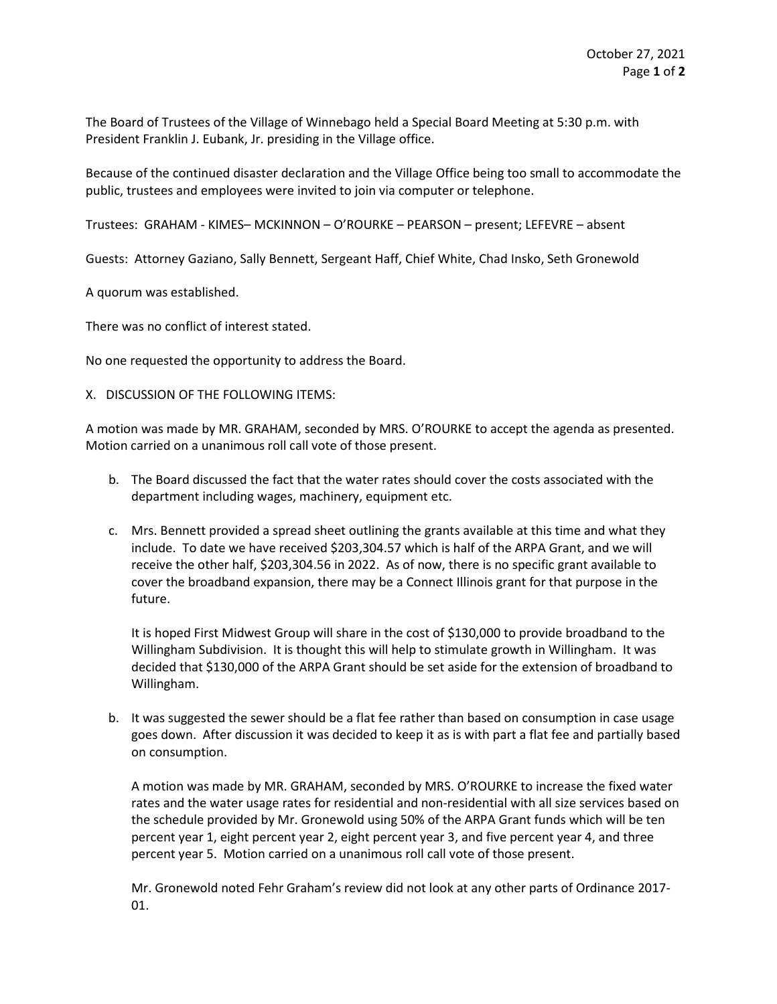The Board of Trustees of the Village of Winnebago held a Special Board Meeting at 5:30 p.m. with President Franklin J. Eubank, Jr. presiding in the Village office.

Because of the continued disaster declaration and the Village Office being too small to accommodate the public, trustees and employees were invited to join via computer or telephone.

Trustees: GRAHAM - KIMES– MCKINNON – O'ROURKE – PEARSON – present; LEFEVRE – absent

Guests: Attorney Gaziano, Sally Bennett, Sergeant Haff, Chief White, Chad Insko, Seth Gronewold

A quorum was established.

There was no conflict of interest stated.

No one requested the opportunity to address the Board.

## X. DISCUSSION OF THE FOLLOWING ITEMS:

A motion was made by MR. GRAHAM, seconded by MRS. O'ROURKE to accept the agenda as presented. Motion carried on a unanimous roll call vote of those present.

- b. The Board discussed the fact that the water rates should cover the costs associated with the department including wages, machinery, equipment etc.
- c. Mrs. Bennett provided a spread sheet outlining the grants available at this time and what they include. To date we have received \$203,304.57 which is half of the ARPA Grant, and we will receive the other half, \$203,304.56 in 2022. As of now, there is no specific grant available to cover the broadband expansion, there may be a Connect Illinois grant for that purpose in the future.

It is hoped First Midwest Group will share in the cost of \$130,000 to provide broadband to the Willingham Subdivision. It is thought this will help to stimulate growth in Willingham. It was decided that \$130,000 of the ARPA Grant should be set aside for the extension of broadband to Willingham.

b. It was suggested the sewer should be a flat fee rather than based on consumption in case usage goes down. After discussion it was decided to keep it as is with part a flat fee and partially based on consumption.

A motion was made by MR. GRAHAM, seconded by MRS. O'ROURKE to increase the fixed water rates and the water usage rates for residential and non-residential with all size services based on the schedule provided by Mr. Gronewold using 50% of the ARPA Grant funds which will be ten percent year 1, eight percent year 2, eight percent year 3, and five percent year 4, and three percent year 5. Motion carried on a unanimous roll call vote of those present.

Mr. Gronewold noted Fehr Graham's review did not look at any other parts of Ordinance 2017- 01.